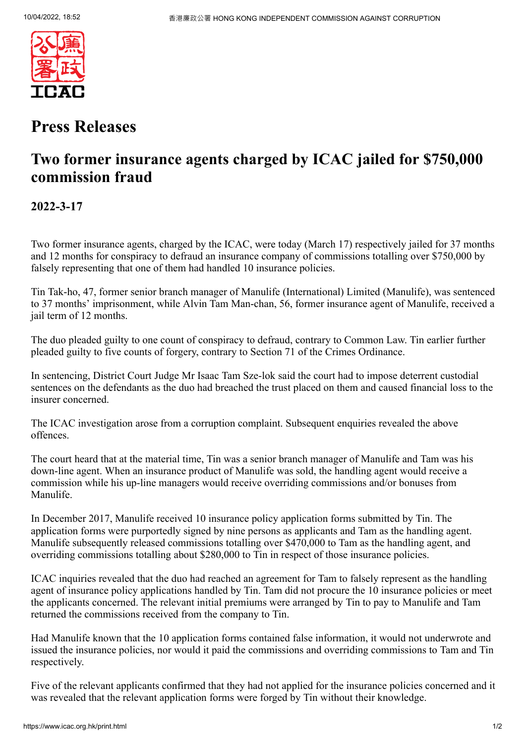

## **Press Releases**

# **Two former insurance agents charged by ICAC jailed for \$750,000 commission fraud**

**2022-3-17**

Two former insurance agents, charged by the ICAC, were today (March 17) respectively jailed for 37 months and 12 months for conspiracy to defraud an insurance company of commissions totalling over \$750,000 by falsely representing that one of them had handled 10 insurance policies.

Tin Tak-ho, 47, former senior branch manager of Manulife (International) Limited (Manulife), was sentenced to 37 months' imprisonment, while Alvin Tam Man-chan, 56, former insurance agent of Manulife, received a jail term of 12 months.

The duo pleaded guilty to one count of conspiracy to defraud, contrary to Common Law. Tin earlier further pleaded guilty to five counts of forgery, contrary to Section 71 of the Crimes Ordinance.

In sentencing, District Court Judge Mr Isaac Tam Sze-lok said the court had to impose deterrent custodial sentences on the defendants as the duo had breached the trust placed on them and caused financial loss to the insurer concerned.

The ICAC investigation arose from a corruption complaint. Subsequent enquiries revealed the above offences.

The court heard that at the material time, Tin was a senior branch manager of Manulife and Tam was his down-line agent. When an insurance product of Manulife was sold, the handling agent would receive a commission while his up-line managers would receive overriding commissions and/or bonuses from Manulife.

In December 2017, Manulife received 10 insurance policy application forms submitted by Tin. The application forms were purportedly signed by nine persons as applicants and Tam as the handling agent. Manulife subsequently released commissions totalling over \$470,000 to Tam as the handling agent, and overriding commissions totalling about \$280,000 to Tin in respect of those insurance policies.

ICAC inquiries revealed that the duo had reached an agreement for Tam to falsely represent as the handling agent of insurance policy applications handled by Tin. Tam did not procure the 10 insurance policies or meet the applicants concerned. The relevant initial premiums were arranged by Tin to pay to Manulife and Tam returned the commissions received from the company to Tin.

Had Manulife known that the 10 application forms contained false information, it would not underwrote and issued the insurance policies, nor would it paid the commissions and overriding commissions to Tam and Tin respectively.

Five of the relevant applicants confirmed that they had not applied for the insurance policies concerned and it was revealed that the relevant application forms were forged by Tin without their knowledge.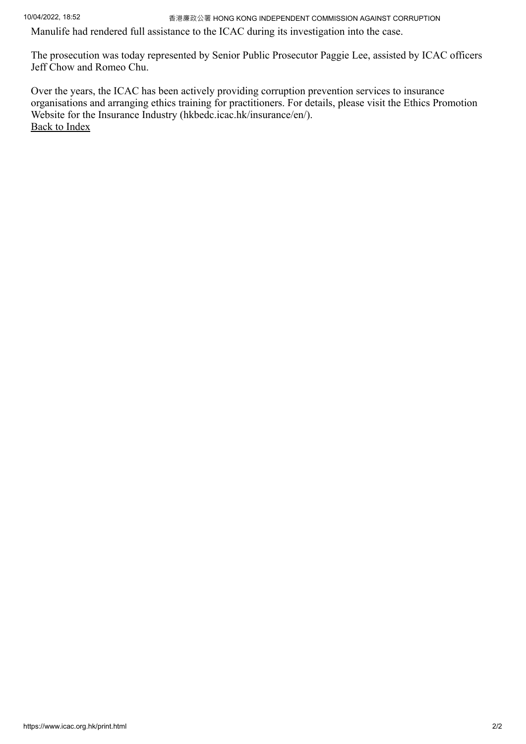10/04/2022, 18:52 香港廉政公署 HONG KONG INDEPENDENT COMMISSION AGAINST CORRUPTION

Manulife had rendered full assistance to the ICAC during its investigation into the case.

The prosecution was today represented by Senior Public Prosecutor Paggie Lee, assisted by ICAC officers Jeff Chow and Romeo Chu.

Over the years, the ICAC has been actively providing corruption prevention services to insurance organisations and arranging ethics training for practitioners. For details, please visit the Ethics Promotion Website for the Insurance Industry (hkbedc.icac.hk/insurance/en/). [Back to Index](https://www.icac.org.hk/index.html)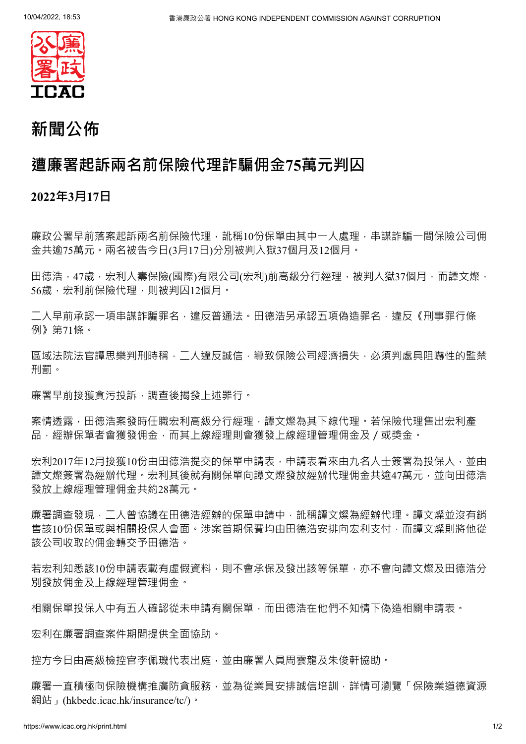

# **新聞公佈**

### **遭廉署起訴兩名前保險代理詐騙佣金75萬元判囚**

#### **2022年3月17日**

廉政公署早前落案起訴兩名前保險代理,訛稱10份保單由其中一人處理,串謀詐騙一間保險公司佣 金共逾75萬元。兩名被告今日(3月17日)分別被判入獄37個月及12個月。

田德浩,47歲,宏利人壽保險(國際)有限公司(宏利)前高級分行經理,被判入獄37個月,而譚文燦, 56歳,宏利前保險代理,則被判囚12個月。

二人早前承認一項串謀詐騙罪名,違反普通法。田德浩另承認五項偽造罪名,違反《刑事罪行條 例》第71條。

區域法院法官譚思樂判刑時稱,二人違反誠信,導致保險公司經濟損失,必須判處具阻嚇性的監禁 刑罰。

廉署早前接獲貪污投訴,調查後揭發上述罪行。

案情透露,田德浩案發時任職宏利高級分行經理,譚文燦為其下線代理。若保險代理售出宏利產 品,經辦保單者會獲發佣金,而其上線經理則會獲發上線經理管理佣金及/或獎金。

宏利2017年12月接獲10份由田德浩提交的保單申請表,申請表看來由九名人十簽署為投保人,並由 譚文燦簽署為經辦代理。宏利其後就有關保單向譚文燦發放經辦代理佣金共逾47萬元,並向田德浩 發放上線經理管理佣金共約28萬元。

廉署調杳發現,一人曾協議在田德浩經辦的保單申請中,訛稱譚文燦為經辦代理。譚文燦並沒有銷 售該10份保單或與相關投保人會面。涉案首期保費均由田德浩安排向宏利支付,而譚文燦則將他從 該公司收取的佣金轉交予田德浩。

若宏利知悉該10份申請表載有虛假資料,則不會承保及發出該等保單,亦不會向譚文燦及田德浩分 別發放佣金及上線經理管理佣金。

相關保單投保人中有五人確認從未申請有關保單,而田德浩在他們不知情下偽造相關申請表。

宏利在廉署調查案件期間提供全面協助。

控方今日由高級檢控官李佩璣代表出庭,並由廉署人員周雲龍及朱俊軒協助。

廉署一直積極向保險機構推廣防貪服務,並為從業員安排誠信培訓,詳情可瀏覽「保險業道德資源 網站」(hkbedc.icac.hk/insurance/tc/)。